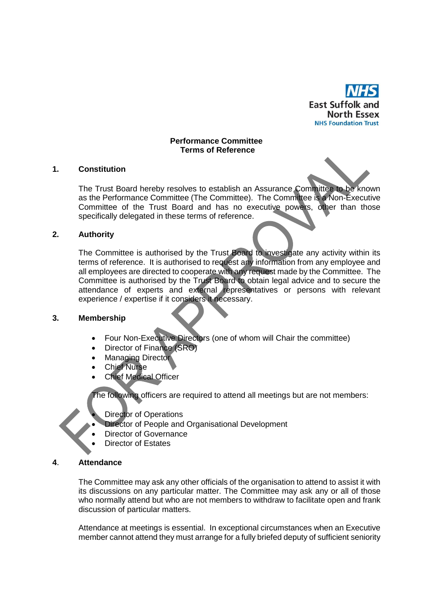

#### **Performance Committee Terms of Reference**

### **1. Constitution**

The Trust Board hereby resolves to establish an Assurance Committee to be known as the Performance Committee (The Committee). The Committee is a Non-Executive Committee of the Trust Board and has no executive powers, other than those specifically delegated in these terms of reference.

## **2. Authority**

The Committee is authorised by the Trust Board to investigate any activity within its terms of reference. It is authorised to request any information from any employee and all employees are directed to cooperate with any request made by the Committee. The Committee is authorised by the Trust Board to obtain legal advice and to secure the attendance of experts and external representatives or persons with relevant experience / expertise if it considers it necessary.

### **3. Membership**

- Four Non-Executive Directors (one of whom will Chair the committee)
- Director of Finance (SRO)
- Managing Director
- Chief Nurse
- Chief Medical Officer

The following officers are required to attend all meetings but are not members:

- Director of Operations
- Director of People and Organisational Development
- Director of Governance
- Director of Estates

# **4**. **Attendance**

The Committee may ask any other officials of the organisation to attend to assist it with its discussions on any particular matter. The Committee may ask any or all of those who normally attend but who are not members to withdraw to facilitate open and frank discussion of particular matters.

Attendance at meetings is essential. In exceptional circumstances when an Executive member cannot attend they must arrange for a fully briefed deputy of sufficient seniority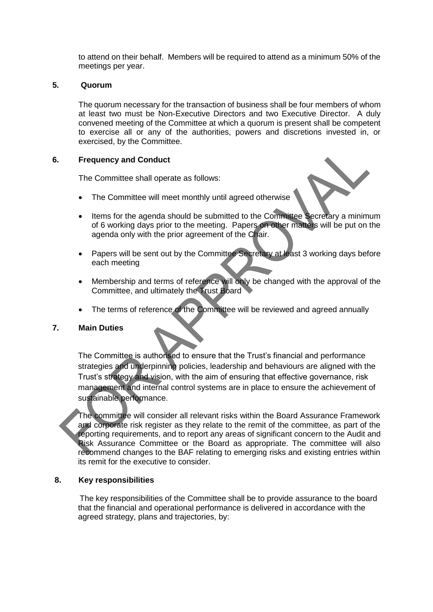to attend on their behalf. Members will be required to attend as a minimum 50% of the meetings per year.

## **5. Quorum**

The quorum necessary for the transaction of business shall be four members of whom at least two must be Non-Executive Directors and two Executive Director. A duly convened meeting of the Committee at which a quorum is present shall be competent to exercise all or any of the authorities, powers and discretions invested in, or exercised, by the Committee.

## **6. Frequency and Conduct**

The Committee shall operate as follows:

- The Committee will meet monthly until agreed otherwise
- Items for the agenda should be submitted to the Committee Secretary a minimum of 6 working days prior to the meeting. Papers on other matters will be put on the agenda only with the prior agreement of the Chair.
- Papers will be sent out by the Committee Secretary at least 3 working days before each meeting
- Membership and terms of reference will only be changed with the approval of the Committee, and ultimately the Trust Board
- The terms of reference of the Committee will be reviewed and agreed annually

# **7. Main Duties**

The Committee is authorised to ensure that the Trust's financial and performance strategies and underpinning policies, leadership and behaviours are aligned with the Trust's strategy and vision, with the aim of ensuring that effective governance, risk management and internal control systems are in place to ensure the achievement of sustainable performance.

The committee will consider all relevant risks within the Board Assurance Framework and corporate risk register as they relate to the remit of the committee, as part of the reporting requirements, and to report any areas of significant concern to the Audit and Risk Assurance Committee or the Board as appropriate. The committee will also recommend changes to the BAF relating to emerging risks and existing entries within its remit for the executive to consider.

### **8. Key responsibilities**

The key responsibilities of the Committee shall be to provide assurance to the board that the financial and operational performance is delivered in accordance with the agreed strategy, plans and trajectories, by: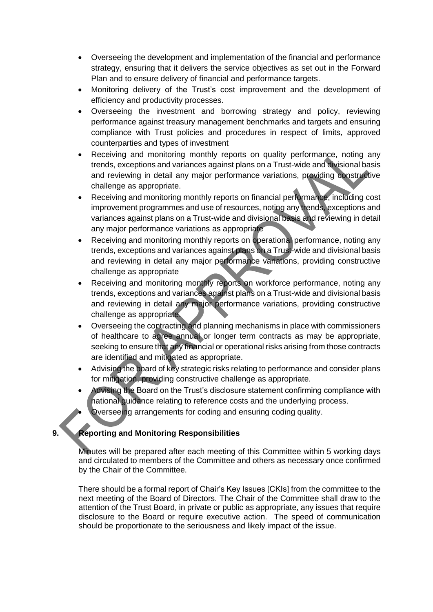- Overseeing the development and implementation of the financial and performance strategy, ensuring that it delivers the service objectives as set out in the Forward Plan and to ensure delivery of financial and performance targets.
- Monitoring delivery of the Trust's cost improvement and the development of efficiency and productivity processes.
- Overseeing the investment and borrowing strategy and policy, reviewing performance against treasury management benchmarks and targets and ensuring compliance with Trust policies and procedures in respect of limits, approved counterparties and types of investment
- Receiving and monitoring monthly reports on quality performance, noting any trends, exceptions and variances against plans on a Trust-wide and divisional basis and reviewing in detail any major performance variations, providing constructive challenge as appropriate.
- Receiving and monitoring monthly reports on financial performance, including cost improvement programmes and use of resources, noting any trends, exceptions and variances against plans on a Trust-wide and divisional basis and reviewing in detail any major performance variations as appropriate
- Receiving and monitoring monthly reports on operational performance, noting any trends, exceptions and variances against plans on a Trust-wide and divisional basis and reviewing in detail any major performance variations, providing constructive challenge as appropriate
- Receiving and monitoring monthly reports on workforce performance, noting any trends, exceptions and variances against plans on a Trust-wide and divisional basis and reviewing in detail any major performance variations, providing constructive challenge as appropriate.
- Overseeing the contracting and planning mechanisms in place with commissioners of healthcare to agree annual or longer term contracts as may be appropriate, seeking to ensure that any financial or operational risks arising from those contracts are identified and mitigated as appropriate.
- Advising the board of key strategic risks relating to performance and consider plans for mitigation, providing constructive challenge as appropriate.
- Advising the Board on the Trust's disclosure statement confirming compliance with national guidance relating to reference costs and the underlying process.

Overseeing arrangements for coding and ensuring coding quality.

# **9. Reporting and Monitoring Responsibilities**

Minutes will be prepared after each meeting of this Committee within 5 working days and circulated to members of the Committee and others as necessary once confirmed by the Chair of the Committee.

There should be a formal report of Chair's Key Issues [CKIs] from the committee to the next meeting of the Board of Directors. The Chair of the Committee shall draw to the attention of the Trust Board, in private or public as appropriate, any issues that require disclosure to the Board or require executive action. The speed of communication should be proportionate to the seriousness and likely impact of the issue.